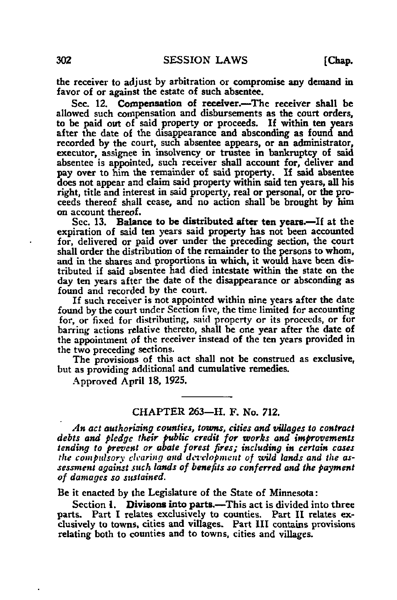the receiver to adjust by arbitration or compromise any demand in favor of or against the estate of such absentee.

Sec. 12. Compensation of receiver.—The receiver shall be allowed such compensation and disbursements as the court orders, to be paid out of said property or proceeds. If within ten years after the date of the disappearance and absconding as found and recorded by the court, such absentee appears, or an administrator, executor, assignee in insolvency or trustee in bankruptcy of said absentee is appointed, such receiver shall account for, deliver and pay over to him the remainder of said property. If said absentee does not appear and claim said property within said ten years, all his right, title and interest in said property, real or personal, or the proceeds thereof shall cease, and no action shall be brought by him on account thereof.

Sec. 13. Balance to be distributed after ten years.—If at the expiration of said ten years said property has not been accounted for, delivered or paid over under the preceding section, the court shall order the distribution of the remainder to the persons to whom, and in the shares and proportions in which, it would have been distributed if said absentee had died intestate within the state on the day ten years after the date of the disappearance or absconding as found and recorded by the court.

If such receiver is not appointed within nine years after the date found by the court under Section five, the time limited for accounting for, or fixed for distributing, said property or its proceeds, or for barring actions relative thereto, shall be one year after the date of the appointment of the receiver instead of the ten years provided in the two preceding sections.

The provisions of this act shall not be construed as exclusive, but as providing additional and cumulative remedies.

Approved April 18, 1925.

# CHAPTER 263—H. F. No. 712.

An act authorising counties, towns, cities and villages to contract debts and pledge their public credit for works and improvements tending to prevent or abate forest fires; including in certain cases the compulsory clearing and dcrclopment of wild lands and the assessment against such lands of benefits so conferred and the payment of damages so sustained.

Be it enacted by the Legislature of the State of Minnesota:

Section 1. Divisons into parts.—This act is divided into three parts. Part I relates exclusively to counties. Part II relates exclusively to towns, cities and villages. Part III contains provisions relating both to counties and to towns, cities and villages.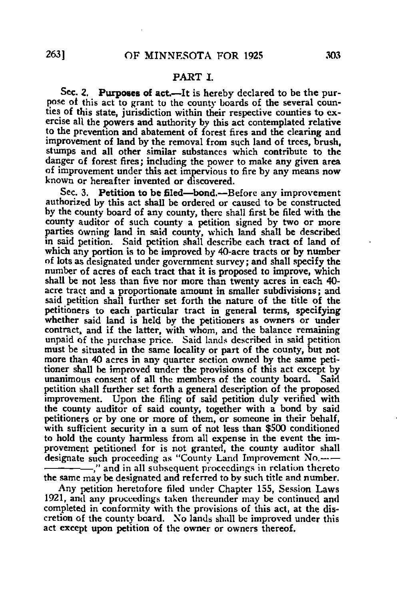#### PART I

Sec. 2. Purposes of act.—It is hereby declared to be the purpose ot this act to grant to the county boards of the several counties of this state, jurisdiction within their respective counties to exercise all the powers and authority by this act contemplated relative to the prevention and abatement of forest fires and the clearing and improvement of land by the removal from such land of trees, brush, stumps and all other similar substances which contribute to the danger of forest fires; including the power to make any given area of improvement under this act impervious to fire by any means now known or hereafter invented or discovered.

Sec. 3. Petition to be filed—bond.—Before any improvement authorized by this act shall be ordered or caused to be constructed by the county board of any county, there shall first be filed with the county auditor of such county a petition signed by two or more parties owning land in said county, which land shall be described in said petition. Said petition shall describe each tract of land of which any portion is to be improved by 40-acre tracts or by number of lots as designated under government survey; and shall specify the number of acres of each tract that it is proposed to improve, which shall be not less than five nor more than twenty acres in each 40 acre tract and a proportionate amount in smaller subdivisions; and said petition shall further set forth the nature of the title of the petitioners to each particular tract in general terms, specifying whether said land is held by the petitioners as owners or under contract, and if the latter, with whom, and the balance remaining unpaid of the purchase price. Said lands described in said petition must be situated in the same locality or part of the county, but not more than 40 acres in any quarter section owned by the same petitioner shall be improved under the provisions of this act except by unanimous consent of all the members of the county board. Said petition shall further set forth a general description of the proposed improvement. Upon the filing of said petition duly verified with the county auditor of said county, together with a bond by said petitioners or by one or more of them, or someone in their behalf, with sufficient security in a sum of not less than \$500 conditioned to hold the county harmless from all expense in the event the improvement petitioned for is not granted, the county auditor shall designate such proceeding as "County Land Improvement No. ," and in all subsequent proceedings in relation thereto the same may be designated and referred to by such title and number.

Any petition heretofore tiled under Chapter 155, Session Laws 1921, and any proceedings taken thereunder may be continued and completed in conformity with the provisions of this act, at the discretion of the county board. Xo lands shull be improved under this act except upon petition of the owner or owners thereof.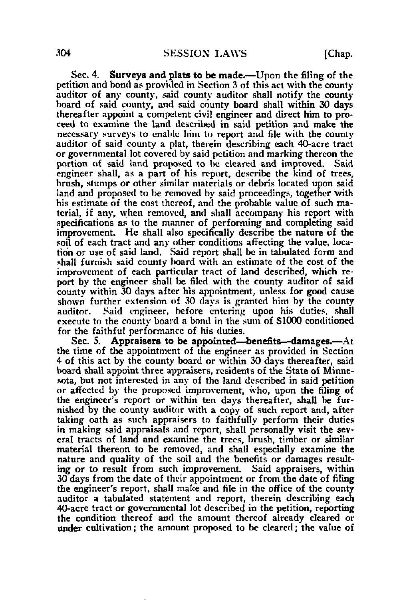Sec. 4. Surveys and plats to be made.—Upon the filing of the petition and bond as provided in Section 3 of this act with the county auditor of any county, said county auditor shall notify the county hoard of said county, and said county board shall within 30 days thereafter appoint a competent civil engineer and direct him to proceed to examine the land described in said petition and make the necessary surveys to enable him to report and file with the county auditor of said county a plat, therein describing each 40-acre tract or governmental lot covered by said petition and marking thereon the portion of said land proposed to be cleared and improved. Said engineer shall, as a part of his report, describe the kind of trees, brush, stumps or other similar materials or debris located upon said land and proposed to be removed by said proceedings, together with his estimate of the cost thereof, and the probable value of such material, if any, when removed, and shall accompany his report with specifications as to the manner of performing and completing said improvement. He shall also specifically describe the nature of the soil of each tract and any other conditions affecting the value, location or use of said land. Said report shall be in tabulated form and shall furnish said county board with an estimate of the cost of the improvement of each particular tract of land described, which report by the engineer shall be filed with the county auditor of said county within 30 days after his appointment, unless for good cause shown further extension of 30 days is granted him by the county auditor. Said engineer, before entering upon his duties, shall execute to the county board a bond in the sum of \$1000 conditioned for the faithful performance of his duties.

Sec. 5. Appraisers to be appointed—benefits—damages.—At the time of the appointment of the engineer as provided in Section 4 of this act by the county board or within 30 days thereafter, said board shall appoint three appraisers, residents of the State of Minnesota, but not interested in any of the land described in said petition or affected by the proposed improvement, who, upon the filing of the engineer's report or within ten days thereafter, shall be furnished by the county auditor with a copy of such report and, after taking oath as such appraisers to faithfully perform their duties in making said appraisals and report, shall personally visit the several tracts of land and examine the trees, brush, timber or similar material thereon to be removed, and shall especially examine the nature and quality of the soil and the benefits or damages resulting or to result from such improvement. Said appraisers, within 30 days from the date of their appointment or from the date of filing the engineer's report, shall make and file in the office of the county auditor a tabulated statement and report, therein describing each 40-acre tract or governmental lot described in the petition, reporting the condition thereof and the amount thereof already cleared or under cultivation; the amount proposed to be cleared; the value of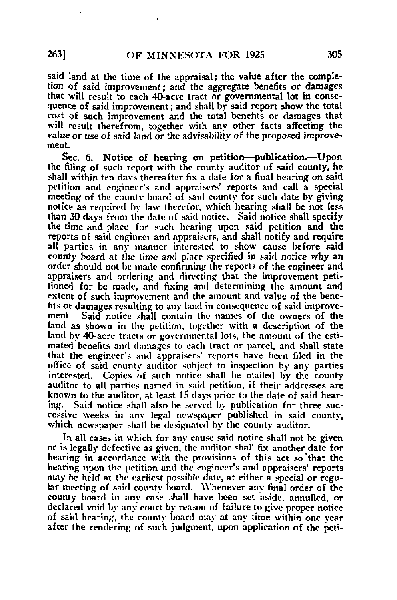said land at the time of the appraisal; the value after the completion of said improvement; and the aggregate benefits or damages that will result to each 40-acre tract or governmental lot in consequence of said improvement; and shall by said report show the total cost of such improvement and the total benefits or damages that will result therefrom, together with any other facts affecting the value or use of said land or the advisability of the proposed improvement.

Sec. 6. Notice of hearing on petition—publication.—Upon the filing of such report with the county auditor of said county, he shall within ten days thereafter fix a date for a final hearing on said petition and engineer's and appraisers' reports and call a special meeting of the county board of said county for such date by giving notice as required by law therefor, which hearing shall be not less than 30 days from the date of said notice. Said notice shall specify the time and place for such hearing upon said petition and the reports of said engineer and appraisers, and shall notify and require all parties in any manner interested to show cause before said county board at the time and place specified in said notice why an order should not be made confirming the reports of the engineer and appraisers and ordering and directing that the improvement petitioned for be made, and fixing and determining the amount and extent of such improvement and the amount and value of the benefits or damages resulting to any land in consequence of said improvement. Said notice shall contain the names of the owners of the land as shown in the petition, together with a description of the land by 40-acre tracts or governmental lots, the amount of the estimated benefits and damages to each tract or parcel, and shall state that the engineer's and appraisers' reports have been filed in the office of said county auditor subject to inspection by any parties interested. Copies of such notice shall be mailed by the county auditor to all parties named in said petition, if their addresses are known to the auditor, at least 15 days prior to the date of said hearing. Said notice shall also be served by publication for three successive weeks in any legal newspaper published in said county, which newspaper shall be designated by the county auditor.

In all cases in which for any cause said notice shall not be given or is legally defective as given, the auditor shall fix another date for hearing in accordance with the provisions of this act so that the hearing upon the petition and the engineer's and appraisers' reports may be held at the earliest possible date, at either a special or regular meeting of said county board. Whenever any final order of the county board in any case shall have been set aside, annulled, or declared void by any court by reason of failure to give proper notice of said hearing, the county board may at any time within one year after the rendering of such judgment, upon application of the peti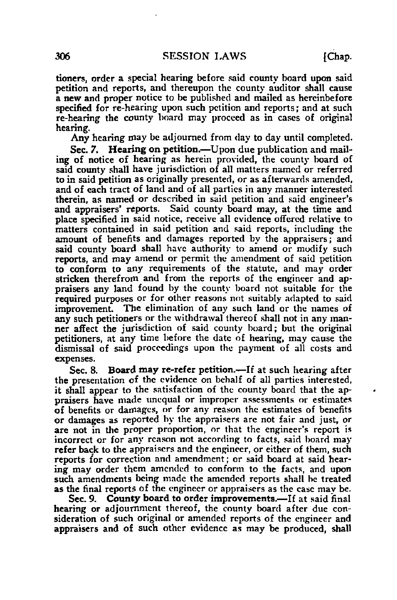tioners, order a special hearing before said county board upon said petition and reports, and thereupon the county auditor shall cause a new and proper notice to be published and mailed as hereinbefore specified for re-hearing upon such petition and reports; and at such re-hearing the county board may proceed as in cases of original hearing.

Any hearing may be adjourned from day to day until completed.

Sec. 7. Hearing on petition.—Upon due publication and mailing of notice of hearing as herein provided, the county board of said county shall have jurisdiction of all matters named or referred to in said petition as originally presented, or as afterwards amended, and of each tract of land and of all parties in any manner interested therein, as named or described in said petition and said engineer's and appraisers' reports. Said county board may, at the time and place specified in said notice, receive all evidence offered relative to matters contained in said petition and said reports, including the amount of benefits and damages reported by the appraisers; and said county board shall have authority to amend or modify such reports, and may amend or permit the amendment of said petition to conform to any requirements of the statute, and may order stricken therefrom and from the reports of the engineer and appraisers any land found by the county board not suitable for the required purposes or for other reasons not suitably adapted to said improvement. The elimination of any such land or the names of any such petitioners or the withdrawal thereof shall not in any manner affect the jurisdiction of said county board; but the original petitioners, at any time before the date of hearing, may cause the dismissal of said proceedings upon the payment of all costs and expenses.

Sec. 8. Board may re-refer petition.—If at such hearing after the presentation of the evidence on behalf of all parties interested, it shall appear to the satisfaction of the county board that the appraisers have made unequal or improper assessments or estimates of benefits or damages, or for any reason the estimates of benefits or damages as reported by the appraisers arc not fair and just, or are not in the proper proportion, or that the engineer's report is incorrect or for any reason not according to facts, said board may refer back to the appraisers and the engineer, or either of them, such reports for correction and amendment; or said board at said hearing may order them amended to conform to the facts, and upon such amendments being made the amended reports shall he treated as the final reports of the engineer or appraisers as the case may be.

Sec. 9. County board to order improvements.—If at said final hearing or adjournment thereof, the county board after due consideration of such original or amended reports of the engineer and appraisers and of such other evidence as may be produced, shall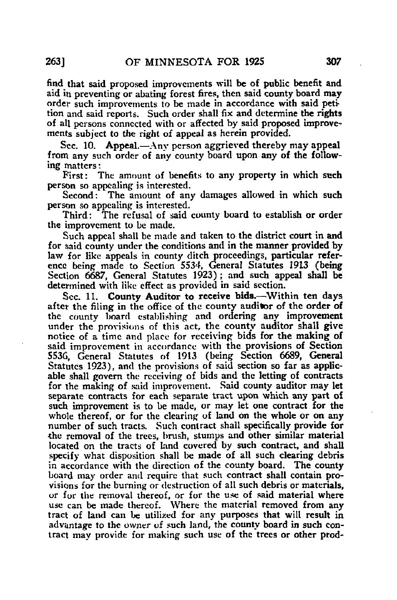find that said proposed improvements will be of public benefit and aid in preventing or abating forest fires, then said county board may order such improvements to be made in accordance with said petition and said reports. Such order shall fix and determine the rights of all persons connected with or affected by said proposed improvements subject to the right of appeal as herein provided.

Sec. 10. Appeal.—Any person aggrieved thereby may appeal from any such order of any county board upon any of the following matters:

First: The amount of benefits to any property in which such person so appealing is interested.<br>Second: The amount of an

The amount of any damages allowed in which such person so appealing is interested.

Third: The refusal of said county board to establish or order the improvement to be made.

Such appeal shall be made and taken to the district court in and for said county under the conditions and in the manner provided by law for like appeals in county ditch proceedings, particular reference being made to Section 5534, General Statutes 1913 (being Section 6687, General Statutes 1923); and such appeal shall be determined with like effect as provided in said section.

Sec. 11. County Auditor to receive bids.—Within ten days after the filing in the office of the county auditor of the order of the county board establishing and ordering any improvement under the provisions of this act, the county auditor shall give notice of a time and place for receiving bids for the making of said improvement in accordance with the provisions of Section 553G, General Statutes of 1913 (being Section 6689, General Statutes 1923), and the provisions of said section so far as applicable shall govern the receiving of bids and the letting of contracts for the making of said improvement. Said county auditor may let separate contracts for each separate tract upon which any part of such improvement is to be made, or may let one contract for the whole thereof, or for the clearing of land on the whole or on any number of such tracts. Such contract shall specifically provide for the removal of the trees, brush, stumps and other similar material located on the tracts of land covered by such contract, and shall specify what disposition shall be made of all such clearing debris in accordance with the direction of the county board. The county board may order and require that such contract shall contain provisions for the burning or destruction of all such debris or materials, or for the removal thereof, or for the use of said material where use can be made thereof. Where the material removed from any tract of land can be utilized for any purposes that will result in advantage to the owner of such land, the county board in such contract may provide for making such use of the trees or other prod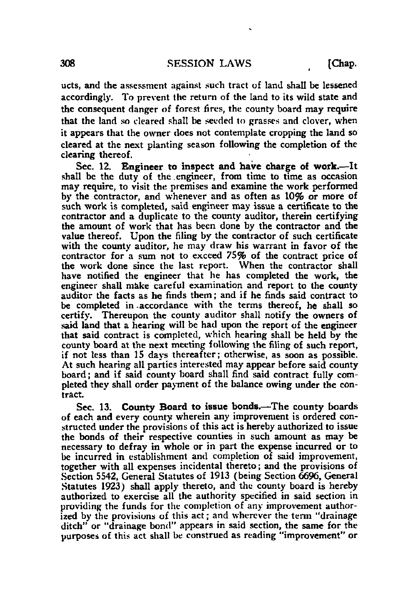ucts, and the assessment against such tract of land shall be lessened accordingly. To prevent the return of the land to its wild state and the consequent danger of forest fires, the county board may require that the land so cleared shall be seeded to grasses and clover, when it appears that the owner does not contemplate cropping the land so cleared at the next planting season following the completion of the clearing thereof.

Sec. 12. Engineer to inspect and have charge of work.—It shall be the duty of the engineer, from time to time as occasion may require, to visit the premises and examine the work performed by the contractor, and whenever and as often as 10% or more of such work is completed, said engineer may issue a certificate to the contractor and a duplicate to the county auditor, therein certifying the amount of work that has been done by the contractor and the value thereof. Upon the filing by the contractor of such certificate with the county auditor, he may draw his warrant in favor of the contractor for a sum not to exceed 75% of the contract price of the work done since the last report. When the contractor shall have notified the engineer that he has completed the work, the engineer shall make careful examination and report to the county auditor the facts as he finds them; and if he finds said contract to be completed in -accordance with the terms thereof, he shall so certify. Thereupon the county auditor shall notify the owners of said land that a hearing will be had upon the report of the engineer that said contract is completed, which hearing shall be held by the county board at the next meeting following the filing of such report, if not less than 15 days thereafter; otherwise, as soon as possible. At such hearing all parties interested may appear before said county board; and if said county board shall find said contract fully completed they shall order payment of the balance owing under the contract.

Sec. 13. County Board to issue bonds.—The county boards of each and every county wherein any improvement is ordered constructed under the provisions of this act is hereby authorized to issue the bonds of their respective counties in such amount as may be necessary to defray in whole or in part the expense incurred or to be incurred in establishment and completion of said improvement, together with all expenses incidental thereto; and the provisions of Section 5542, General Statutes of 1913 (being Section 6696, General Statutes 1923) shall apply thereto, and the county board is hereby authorized to exercise all the authority specified in said section in providing the funds for the completion of any improvement authorized by the provisions of this act; and wherever the term "drainage ditch" or "drainage bond" appears in said section, the same for the purposes of this act shall be construed as reading "improvement" or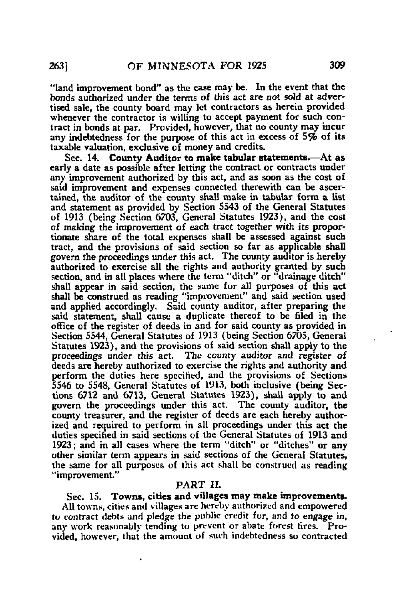"land improvement bond" as the case may be. In the event that the bonds authorized under the terms of this act are not sold at advertised sale, the county board may let contractors as herein provided whenever the contractor is willing to accept payment for such contract in bonds at par. Provided, however, that no county may incur any indebtedness for the purpose of this act in excess of  $5\%$  of its taxable valuation, exclusive of money and credits.

Sec. 14. County Auditor to make tabular statements.—At as early a date as possible after letting the contract or contracts under any improvement authorized by this act, and as soon as the cost of said improvement and expenses connected therewith can be ascertained, the auditor of the county shall make in tabular form a list and statement as provided by Section 5543 of the General Statutes of 1913 (being Section 6703, General Statutes 1923), and the cost of making the improvement of each tract together with its proportionate share of the total expenses shall be assessed against such tract, and the provisions of said section so far as applicable shall govern the proceedings under this act. The county auditor is hereby authorized to exercise all the rights and authority granted by such section, and in all places where the term "ditch" or "drainage ditch" shall appear in said section, the same for all purposes of this act shall be construed as reading "improvement" and said section used and applied accordingly. Said county auditor, after preparing the said statement, shall cause a duplicate thereof to be filed in the office of the register of deeds in and for said county as provided in Section 5544, General Statutes of 1913 (being Section 6705, General Statutes 1923), and the provisions of said section shall apply to the proceedings under this act. The county auditor and register of deeds are hereby authorized to exercise the rights and authority and perform the duties here specified, and the provisions of Sections 5546 to 5548, General Statutes of 1913, both inclusive (being Sections 6712 and 6713, General Statutes 1923), shall apply to and govern the proceedings under this act. The county auditor, the county treasurer, and the register of deeds are each hereby authorized and required to perform in all proceedings under this act the duties specified in said sections of the General Statutes of 1913 and 1923; and in all cases where the term "ditch" or "ditches" or any other similar term appears in said sections of the General Statutes, the same for all purposes of this act shall be construed as reading "improvement."

# PART II.

Sec. 15. Towns, cities and villages may make improvements. All towns, cities and villages are hereby authorized and empowered to contract debts and pledge the public credit for, and to engage in, any work reasonably tending to prevent or abate forest fires. Provided, however, that the amount of such indebtedness so contracted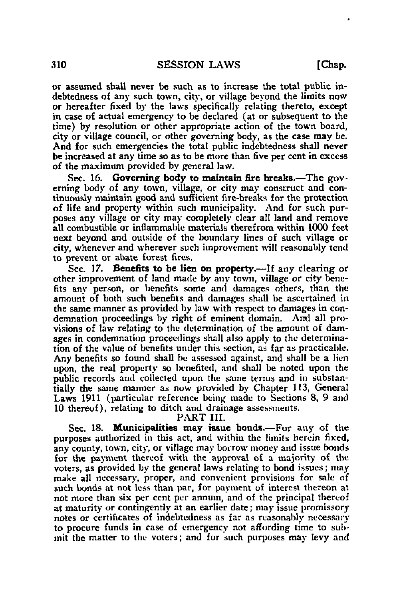or assumed shall never be such as to increase the total public indebtedness of any such town, city, or village beyond the limits now or hereafter fixed by the laws specifically relating thereto, except in case of actual emergency to be declared (at or subsequent to the time) by resolution or other appropriate action of the town board, city or village council, or other governing body, as the case may be. And for such emergencies the total public indebtedness shall never be increased at any time so as to be more than five per cent in excess of the maximum provided by general law.

Sec. 16. Governing body to maintain fire breaks.—The governing body of any town, village, or city may construct and continuously maintain good and sufficient lire-breaks for the protection of life and property within such municipality. And for such purposes any village or city may completely clear all land and remove all combustible or inflammable materials therefrom within 1000 feet next beyond and outside of the boundary lines of such village or city, whenever and wherever such improvement will reasonably tend to prevent or abate forest fires.

Sec. 17. Benefits to be lien on property.—If any clearing or other improvement of land made by any town, village or city benefits any person, or benefits some and damages others, than the amount of both such benefits and damages shall be ascertained in the same manner as provided by law with respect to damages in condemnation proceedings by right of eminent domain. And all provisions of law relating to the determination of the amount of damages in condemnation proceedings shall also apply to the determination of the value of benefits under this section, as far as practicable. Any benefits so found shall be assessed against, and shall be a lien upon, the real property so benefited, and shall be noted upon the public records and collected upon the same terms and in substantially the same manner as now provided by Chapter 113, General Laws 1911 (particular reference being made to Sections 8, 9 and 10 thereof), relating to ditch and drainage assessments.

# PART III.

Sec. 18. Municipalities may issue bonds.—For any of the purposes authorized in this act, and within the limits herein fixed, any county, town, city, or village may borrow money and issue bonds for the payment thereof with the approval of a majority of the voters, as provided by the general laws relating to bond issues; may make all necessary, proper, and convenient provisions for sale of such bonds at not less than par, for payment of interest thereon at not more than six per cent per annum, and of the principal thereof at maturity or contingently at an earlier date; may issue promissory notes or certificates of indebtedness as far as reasonably necessary to procure funds in case of emergency not affording time to submit the matter to the voters; and for such purposes may levy and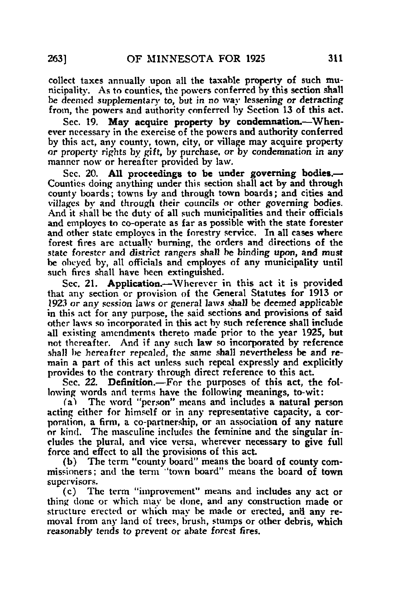collect taxes annually upon all the taxable property of such municipality. As to counties, the powers conferred by this section shall be deemed supplementary to, but in no way lessening or detracting from, the powers and authority conferred by Section 13 of this act.

Sec. 19. May acquire property by condemnation.—Whenever necessary in the exercise of the powers and authority conferred by this act, any county, town, city, or village may acquire property or property rights by gift, by purchase, or by condemnation in any manner now or hereafter provided by law.

Sec. 20. All proceedings to be under governing bodies.— Counties doing anything under this section shall act by and through county boards; towns by and through town boards; and cities and villages by and through their councils or other governing bodies. And it shall be the duty of all such municipalities and their officials and employes to co-operate as far as possible with the state forester and other state employes in the forestry service. In all cases where forest fires are actually burning, the orders and directions of the state forester and district rangers shall be binding upon, and must be obeyed by, all officials and employes of any municipality until such fires shall have been extinguished.

Sec. 21. Application.—Wherever in this act it is provided that any section or provision of the General Statutes for 1913 or 1923 or any session laws or general laws shall be deemed applicable in this act for any purpose, the said sections and provisions of said other laws so incorporated in this act by such reference shall include all existing amendments thereto made prior to the year 1925, but not thereafter. And if any such law so incorporated by reference shall be hereafter repealed, the same shall nevertheless be and remain a part of this act unless such repeal expressly and explicitly provides to the contrary through direct reference to this act.

Sec. 22. Definition.—For the purposes of this act, the following words and terms have the following meanings, to-wit:

(a^ The word "person" means and includes a natural person acting either for himself or in any representative capacity, a corporation, a firm, a co-partnership, or an association of any nature or kind. The masculine includes the feminine and the singular includes the plural, and vice versa, wherever necessary to give full force and effect to all the provisions of this act.

(b) The term "county board" means the board of county commissioners; and the term ''town board" means the board of town supervisors.

(c) The term "improvement" means and includes any act or thing done or which may be done, and any construction made or structure erected or which may be made or erected, and any removal from any land of trees, brush, stumps or other debris, which reasonably tends to prevent or abate forest fires.